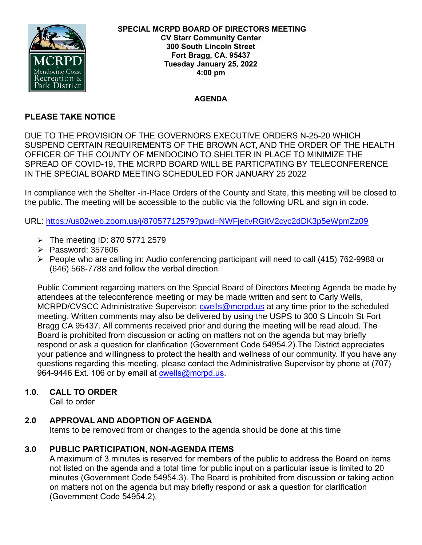

#### **AGENDA**

# **PLEASE TAKE NOTICE**

DUE TO THE PROVISION OF THE GOVERNORS EXECUTIVE ORDERS N-25-20 WHICH SUSPEND CERTAIN REQUIREMENTS OF THE BROWN ACT, AND THE ORDER OF THE HEALTH OFFICER OF THE COUNTY OF MENDOCINO TO SHELTER IN PLACE TO MINIMIZE THE SPREAD OF COVID-19, THE MCRPD BOARD WILL BE PARTICPATING BY TELECONFERENCE IN THE SPECIAL BOARD MEETING SCHEDULED FOR JANUARY 25 2022

In compliance with the Shelter -in-Place Orders of the County and State, this meeting will be closed to the public. The meeting will be accessible to the public via the following URL and sign in code.

URL:<https://us02web.zoom.us/j/87057712579?pwd=NWFjeitvRGltV2cyc2dDK3p5eWpmZz09>

- $\triangleright$  The meeting ID: 870 5771 2579
- ➢ Password: 357606
- ➢ People who are calling in: Audio conferencing participant will need to call (415) 762-9988 or (646) 568-7788 and follow the verbal direction.

Public Comment regarding matters on the Special Board of Directors Meeting Agenda be made by attendees at the teleconference meeting or may be made written and sent to Carly Wells, MCRPD/CVSCC Administrative Supervisor: [cwells@mcrpd.us](mailto:cwells@mcrpd.us) at any time prior to the scheduled meeting. Written comments may also be delivered by using the USPS to 300 S Lincoln St Fort Bragg CA 95437. All comments received prior and during the meeting will be read aloud. The Board is prohibited from discussion or acting on matters not on the agenda but may briefly respond or ask a question for clarification (Government Code 54954.2).The District appreciates your patience and willingness to protect the health and wellness of our community. If you have any questions regarding this meeting, please contact the Administrative Supervisor by phone at (707) 964-9446 Ext. 106 or by email at [cwells@mcrpd.us.](mailto:cwells@mcrpd.us)

# **1.0. CALL TO ORDER**

Call to order

# **2.0 APPROVAL AND ADOPTION OF AGENDA**

Items to be removed from or changes to the agenda should be done at this time

# **3.0 PUBLIC PARTICIPATION, NON-AGENDA ITEMS**

A maximum of 3 minutes is reserved for members of the public to address the Board on items not listed on the agenda and a total time for public input on a particular issue is limited to 20 minutes (Government Code 54954.3). The Board is prohibited from discussion or taking action on matters not on the agenda but may briefly respond or ask a question for clarification (Government Code 54954.2).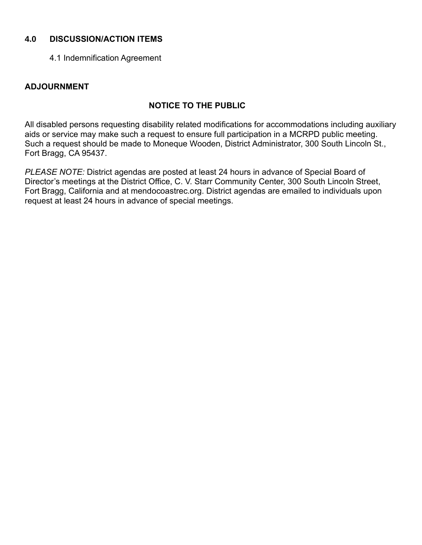## **4.0 DISCUSSION/ACTION ITEMS**

4.1 Indemnification Agreement

### **ADJOURNMENT**

# **NOTICE TO THE PUBLIC**

All disabled persons requesting disability related modifications for accommodations including auxiliary aids or service may make such a request to ensure full participation in a MCRPD public meeting. Such a request should be made to Moneque Wooden, District Administrator, 300 South Lincoln St., Fort Bragg, CA 95437.

*PLEASE NOTE:* District agendas are posted at least 24 hours in advance of Special Board of Director's meetings at the District Office, C. V. Starr Community Center, 300 South Lincoln Street, Fort Bragg, California and at mendocoastrec.org. District agendas are emailed to individuals upon request at least 24 hours in advance of special meetings.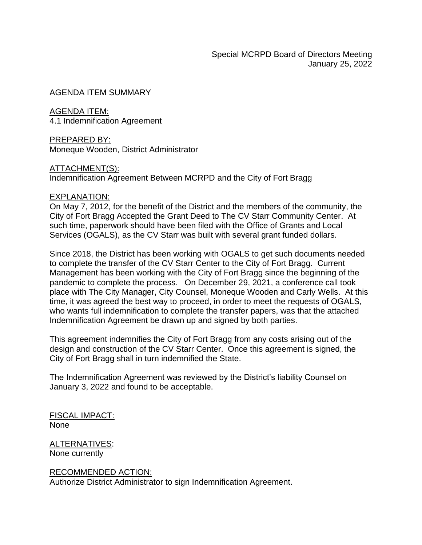AGENDA ITEM SUMMARY

AGENDA ITEM: 4.1 Indemnification Agreement

PREPARED BY: Moneque Wooden, District Administrator

ATTACHMENT(S): Indemnification Agreement Between MCRPD and the City of Fort Bragg

#### EXPLANATION:

On May 7, 2012, for the benefit of the District and the members of the community, the City of Fort Bragg Accepted the Grant Deed to The CV Starr Community Center. At such time, paperwork should have been filed with the Office of Grants and Local Services (OGALS), as the CV Starr was built with several grant funded dollars.

Since 2018, the District has been working with OGALS to get such documents needed to complete the transfer of the CV Starr Center to the City of Fort Bragg. Current Management has been working with the City of Fort Bragg since the beginning of the pandemic to complete the process. On December 29, 2021, a conference call took place with The City Manager, City Counsel, Moneque Wooden and Carly Wells. At this time, it was agreed the best way to proceed, in order to meet the requests of OGALS, who wants full indemnification to complete the transfer papers, was that the attached Indemnification Agreement be drawn up and signed by both parties.

This agreement indemnifies the City of Fort Bragg from any costs arising out of the design and construction of the CV Starr Center. Once this agreement is signed, the City of Fort Bragg shall in turn indemnified the State.

The Indemnification Agreement was reviewed by the District's liability Counsel on January 3, 2022 and found to be acceptable.

FISCAL IMPACT: None

ALTERNATIVES: None currently

RECOMMENDED ACTION: Authorize District Administrator to sign Indemnification Agreement.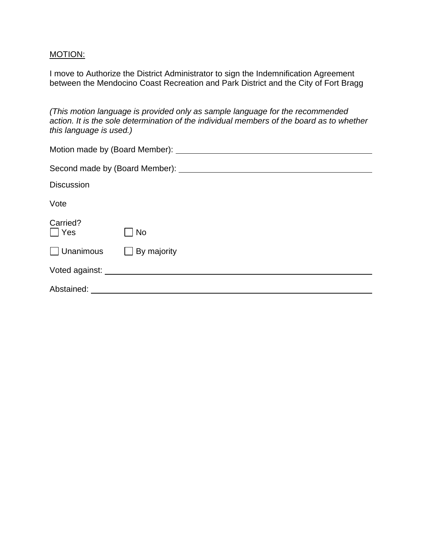## MOTION:

I move to Authorize the District Administrator to sign the Indemnification Agreement between the Mendocino Coast Recreation and Park District and the City of Fort Bragg

*(This motion language is provided only as sample language for the recommended action. It is the sole determination of the individual members of the board as to whether this language is used.)*

| <b>Discussion</b>      |                               |
|------------------------|-------------------------------|
| Vote                   |                               |
| Carried?<br>$\Box$ Yes | No                            |
| $\Box$ Unanimous       | $\Box$ By majority            |
|                        | Voted against: Voted against: |
| Abstained:             |                               |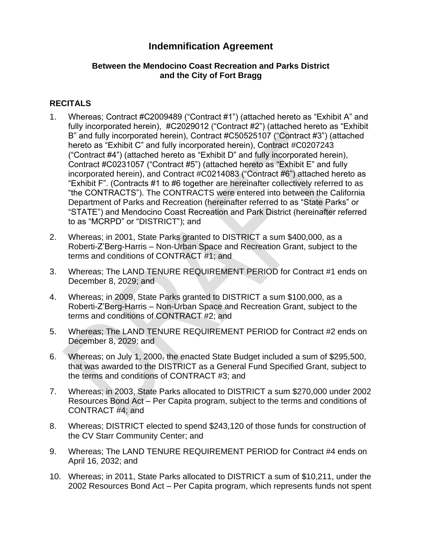# **Indemnification Agreement**

### **Between the Mendocino Coast Recreation and Parks District and the City of Fort Bragg**

# **RECITALS**

- 1. Whereas; Contract #C2009489 ("Contract #1") (attached hereto as "Exhibit A" and fully incorporated herein), #C2029012 ("Contract #2") (attached hereto as "Exhibit B" and fully incorporated herein), Contract #C50525107 ("Contract #3") (attached hereto as "Exhibit C" and fully incorporated herein), Contract #C0207243 ("Contract #4") (attached hereto as "Exhibit D" and fully incorporated herein), Contract #C0231057 ("Contract #5") (attached hereto as "Exhibit E" and fully incorporated herein), and Contract #C0214083 ("Contract #6") attached hereto as "Exhibit F". (Contracts #1 to #6 together are hereinafter collectively referred to as "the CONTRACTS"). The CONTRACTS were entered into between the California Department of Parks and Recreation (hereinafter referred to as "State Parks" or "STATE") and Mendocino Coast Recreation and Park District (hereinafter referred to as "MCRPD" or "DISTRICT"); and
- 2. Whereas; in 2001, State Parks granted to DISTRICT a sum \$400,000, as a Roberti-Z'Berg-Harris – Non-Urban Space and Recreation Grant, subject to the terms and conditions of CONTRACT #1; and
- 3. Whereas; The LAND TENURE REQUIREMENT PERIOD for Contract #1 ends on December 8, 2029; and
- 4. Whereas; in 2009, State Parks granted to DISTRICT a sum \$100,000, as a Roberti-Z'Berg-Harris – Non-Urban Space and Recreation Grant, subject to the terms and conditions of CONTRACT #2; and
- 5. Whereas; The LAND TENURE REQUIREMENT PERIOD for Contract #2 ends on December 8, 2029; and
- 6. Whereas; on July 1, 2000, the enacted State Budget included a sum of \$295,500, that was awarded to the DISTRICT as a General Fund Specified Grant, subject to the terms and conditions of CONTRACT #3; and
- 7. Whereas; in 2003, State Parks allocated to DISTRICT a sum \$270,000 under 2002 Resources Bond Act – Per Capita program, subject to the terms and conditions of CONTRACT #4; and
- 8. Whereas; DISTRICT elected to spend \$243,120 of those funds for construction of the CV Starr Community Center; and
- 9. Whereas; The LAND TENURE REQUIREMENT PERIOD for Contract #4 ends on April 16, 2032; and
- 10. Whereas; in 2011, State Parks allocated to DISTRICT a sum of \$10,211, under the 2002 Resources Bond Act – Per Capita program, which represents funds not spent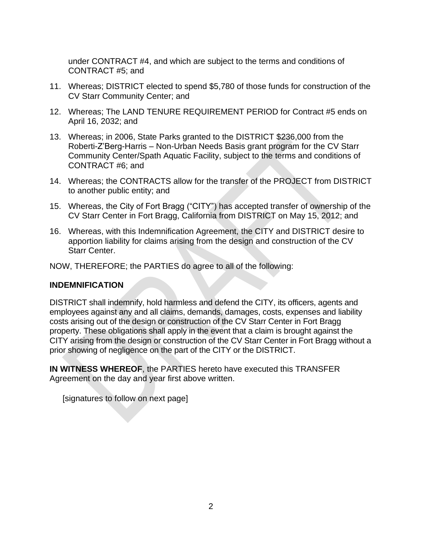under CONTRACT #4, and which are subject to the terms and conditions of CONTRACT #5; and

- 11. Whereas; DISTRICT elected to spend \$5,780 of those funds for construction of the CV Starr Community Center; and
- 12. Whereas; The LAND TENURE REQUIREMENT PERIOD for Contract #5 ends on April 16, 2032; and
- 13. Whereas; in 2006, State Parks granted to the DISTRICT \$236,000 from the Roberti-Z'Berg-Harris – Non-Urban Needs Basis grant program for the CV Starr Community Center/Spath Aquatic Facility, subject to the terms and conditions of CONTRACT #6; and
- 14. Whereas; the CONTRACTS allow for the transfer of the PROJECT from DISTRICT to another public entity; and
- 15. Whereas, the City of Fort Bragg ("CITY") has accepted transfer of ownership of the CV Starr Center in Fort Bragg, California from DISTRICT on May 15, 2012; and
- 16. Whereas, with this Indemnification Agreement, the CITY and DISTRICT desire to apportion liability for claims arising from the design and construction of the CV Starr Center.

NOW, THEREFORE; the PARTIES do agree to all of the following:

#### **INDEMNIFICATION**

DISTRICT shall indemnify, hold harmless and defend the CITY, its officers, agents and employees against any and all claims, demands, damages, costs, expenses and liability costs arising out of the design or construction of the CV Starr Center in Fort Bragg property. These obligations shall apply in the event that a claim is brought against the CITY arising from the design or construction of the CV Starr Center in Fort Bragg without a prior showing of negligence on the part of the CITY or the DISTRICT.

**IN WITNESS WHEREOF**, the PARTIES hereto have executed this TRANSFER Agreement on the day and year first above written.

[signatures to follow on next page]